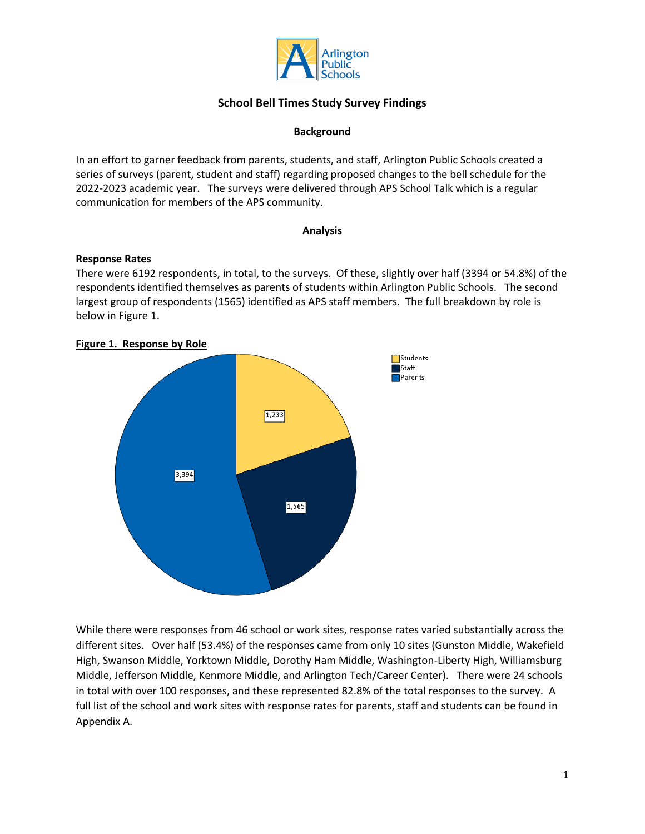

#### **Background**

In an effort to garner feedback from parents, students, and staff, Arlington Public Schools created a series of surveys (parent, student and staff) regarding proposed changes to the bell schedule for the 2022-2023 academic year. The surveys were delivered through APS School Talk which is a regular communication for members of the APS community.

#### **Analysis**

#### **Response Rates**

There were 6192 respondents, in total, to the surveys. Of these, slightly over half (3394 or 54.8%) of the respondents identified themselves as parents of students within Arlington Public Schools. The second largest group of respondents (1565) identified as APS staff members. The full breakdown by role is below in Figure 1.



#### **Figure 1. Response by Role**

While there were responses from 46 school or work sites, response rates varied substantially across the different sites. Over half (53.4%) of the responses came from only 10 sites (Gunston Middle, Wakefield High, Swanson Middle, Yorktown Middle, Dorothy Ham Middle, Washington-Liberty High, Williamsburg Middle, Jefferson Middle, Kenmore Middle, and Arlington Tech/Career Center). There were 24 schools in total with over 100 responses, and these represented 82.8% of the total responses to the survey. A full list of the school and work sites with response rates for parents, staff and students can be found in Appendix A.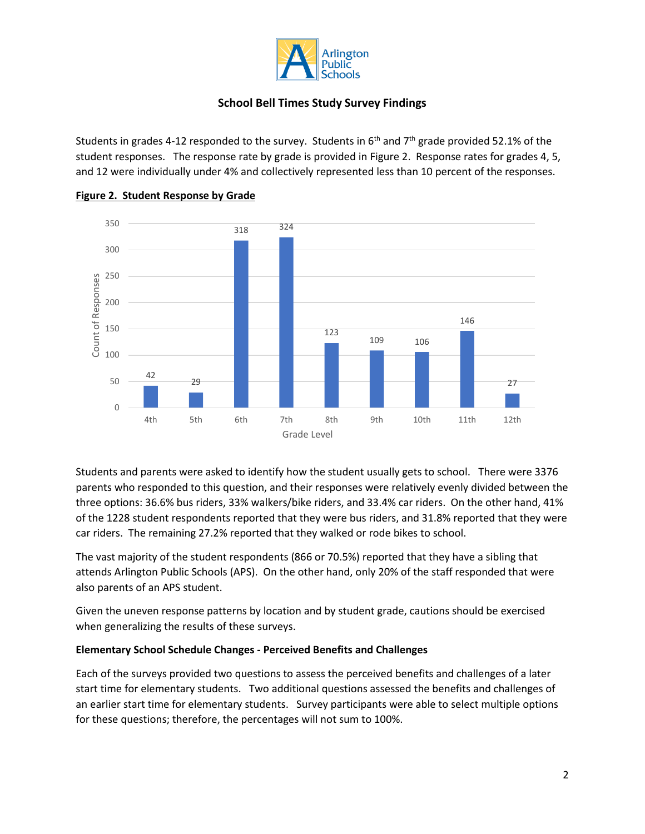

Students in grades 4-12 responded to the survey. Students in  $6<sup>th</sup>$  and  $7<sup>th</sup>$  grade provided 52.1% of the student responses. The response rate by grade is provided in Figure 2. Response rates for grades 4, 5, and 12 were individually under 4% and collectively represented less than 10 percent of the responses.



#### **Figure 2. Student Response by Grade**

Students and parents were asked to identify how the student usually gets to school. There were 3376 parents who responded to this question, and their responses were relatively evenly divided between the three options: 36.6% bus riders, 33% walkers/bike riders, and 33.4% car riders. On the other hand, 41% of the 1228 student respondents reported that they were bus riders, and 31.8% reported that they were car riders. The remaining 27.2% reported that they walked or rode bikes to school.

The vast majority of the student respondents (866 or 70.5%) reported that they have a sibling that attends Arlington Public Schools (APS). On the other hand, only 20% of the staff responded that were also parents of an APS student.

Given the uneven response patterns by location and by student grade, cautions should be exercised when generalizing the results of these surveys.

#### **Elementary School Schedule Changes - Perceived Benefits and Challenges**

Each of the surveys provided two questions to assess the perceived benefits and challenges of a later start time for elementary students. Two additional questions assessed the benefits and challenges of an earlier start time for elementary students. Survey participants were able to select multiple options for these questions; therefore, the percentages will not sum to 100%.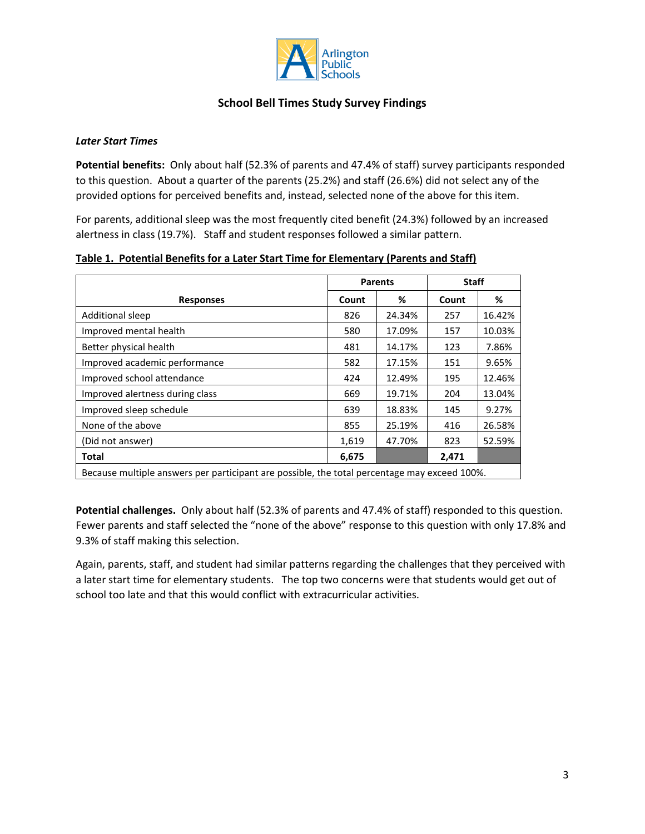

#### *Later Start Times*

**Potential benefits:** Only about half (52.3% of parents and 47.4% of staff) survey participants responded to this question. About a quarter of the parents (25.2%) and staff (26.6%) did not select any of the provided options for perceived benefits and, instead, selected none of the above for this item.

For parents, additional sleep was the most frequently cited benefit (24.3%) followed by an increased alertness in class (19.7%). Staff and student responses followed a similar pattern.

|                                                                                              |       | <b>Parents</b> | <b>Staff</b> |        |
|----------------------------------------------------------------------------------------------|-------|----------------|--------------|--------|
| <b>Responses</b>                                                                             | Count | %              | Count        | %      |
| <b>Additional sleep</b>                                                                      | 826   | 24.34%         | 257          | 16.42% |
| Improved mental health                                                                       | 580   | 17.09%         | 157          | 10.03% |
| Better physical health                                                                       | 481   | 14.17%         | 123          | 7.86%  |
| Improved academic performance                                                                | 582   | 17.15%         | 151          | 9.65%  |
| Improved school attendance                                                                   | 424   | 12.49%         | 195          | 12.46% |
| Improved alertness during class                                                              | 669   | 19.71%         | 204          | 13.04% |
| Improved sleep schedule                                                                      | 639   | 18.83%         | 145          | 9.27%  |
| None of the above                                                                            | 855   | 25.19%         | 416          | 26.58% |
| (Did not answer)                                                                             | 1,619 | 47.70%         | 823          | 52.59% |
| Total                                                                                        | 6,675 |                | 2,471        |        |
| Because multiple answers per participant are possible, the total percentage may exceed 100%. |       |                |              |        |

#### **Table 1. Potential Benefits for a Later Start Time for Elementary (Parents and Staff)**

**Potential challenges.** Only about half (52.3% of parents and 47.4% of staff) responded to this question. Fewer parents and staff selected the "none of the above" response to this question with only 17.8% and 9.3% of staff making this selection.

Again, parents, staff, and student had similar patterns regarding the challenges that they perceived with a later start time for elementary students. The top two concerns were that students would get out of school too late and that this would conflict with extracurricular activities.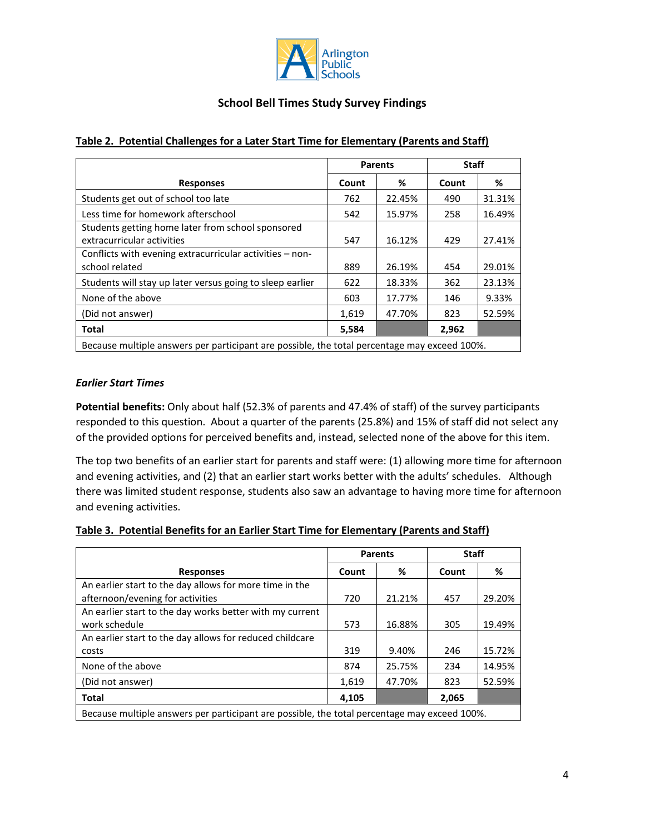

|                                                                                              | <b>Parents</b> |        | <b>Staff</b> |        |
|----------------------------------------------------------------------------------------------|----------------|--------|--------------|--------|
| <b>Responses</b>                                                                             | Count          | %      | Count        | ℅      |
| Students get out of school too late                                                          | 762            | 22.45% | 490          | 31.31% |
| Less time for homework afterschool                                                           | 542            | 15.97% | 258          | 16.49% |
| Students getting home later from school sponsored<br>extracurricular activities              | 547            | 16.12% | 429          | 27.41% |
| Conflicts with evening extracurricular activities – non-<br>school related                   | 889            | 26.19% | 454          | 29.01% |
| Students will stay up later versus going to sleep earlier                                    | 622            | 18.33% | 362          | 23.13% |
| None of the above                                                                            | 603            | 17.77% | 146          | 9.33%  |
| (Did not answer)                                                                             | 1,619          | 47.70% | 823          | 52.59% |
| <b>Total</b>                                                                                 | 5,584          |        | 2,962        |        |
| Because multiple answers per participant are possible, the total percentage may exceed 100%. |                |        |              |        |

### **Table 2. Potential Challenges for a Later Start Time for Elementary (Parents and Staff)**

#### *Earlier Start Times*

**Potential benefits:** Only about half (52.3% of parents and 47.4% of staff) of the survey participants responded to this question. About a quarter of the parents (25.8%) and 15% of staff did not select any of the provided options for perceived benefits and, instead, selected none of the above for this item.

The top two benefits of an earlier start for parents and staff were: (1) allowing more time for afternoon and evening activities, and (2) that an earlier start works better with the adults' schedules. Although there was limited student response, students also saw an advantage to having more time for afternoon and evening activities.

#### **Table 3. Potential Benefits for an Earlier Start Time for Elementary (Parents and Staff)**

|                                                                                            | <b>Parents</b> |        | <b>Staff</b> |        |
|--------------------------------------------------------------------------------------------|----------------|--------|--------------|--------|
| <b>Responses</b>                                                                           | Count          | %      | Count        | %      |
| An earlier start to the day allows for more time in the                                    |                |        |              |        |
| afternoon/evening for activities                                                           | 720            | 21.21% | 457          | 29.20% |
| An earlier start to the day works better with my current                                   |                |        |              |        |
| work schedule                                                                              | 573            | 16.88% | 305          | 19.49% |
| An earlier start to the day allows for reduced childcare                                   |                |        |              |        |
| costs                                                                                      | 319            | 9.40%  | 246          | 15.72% |
| None of the above                                                                          | 874            | 25.75% | 234          | 14.95% |
| (Did not answer)                                                                           | 1,619          | 47.70% | 823          | 52.59% |
| <b>Total</b>                                                                               | 4,105          |        | 2,065        |        |
| Recause multiple apswers ner participant are nossible the total perceptage may exceed 100% |                |        |              |        |

Because multiple answers per participant are possible, the total percentage may exceed 100%.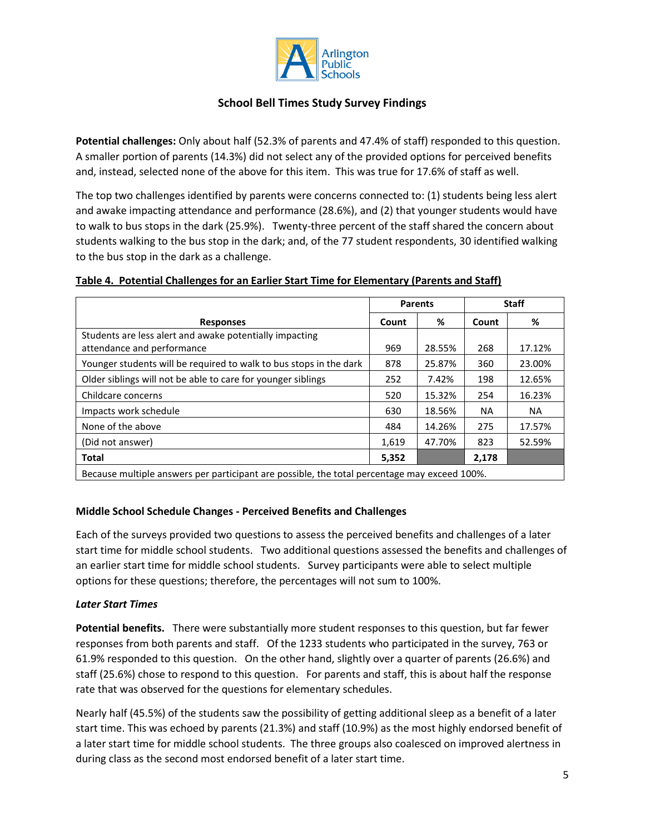

**Potential challenges:** Only about half (52.3% of parents and 47.4% of staff) responded to this question. A smaller portion of parents (14.3%) did not select any of the provided options for perceived benefits and, instead, selected none of the above for this item. This was true for 17.6% of staff as well.

The top two challenges identified by parents were concerns connected to: (1) students being less alert and awake impacting attendance and performance (28.6%), and (2) that younger students would have to walk to bus stops in the dark (25.9%). Twenty-three percent of the staff shared the concern about students walking to the bus stop in the dark; and, of the 77 student respondents, 30 identified walking to the bus stop in the dark as a challenge.

## **Table 4. Potential Challenges for an Earlier Start Time for Elementary (Parents and Staff)**

|                                                                                              |       | <b>Parents</b> | <b>Staff</b> |           |  |
|----------------------------------------------------------------------------------------------|-------|----------------|--------------|-----------|--|
| <b>Responses</b>                                                                             | Count | %              | Count        | %         |  |
| Students are less alert and awake potentially impacting<br>attendance and performance        | 969   | 28.55%         | 268          | 17.12%    |  |
| Younger students will be required to walk to bus stops in the dark                           | 878   | 25.87%         | 360          | 23.00%    |  |
| Older siblings will not be able to care for younger siblings                                 |       | 7.42%          | 198          | 12.65%    |  |
| Childcare concerns                                                                           |       | 15.32%         | 254          | 16.23%    |  |
| Impacts work schedule                                                                        | 630   | 18.56%         | <b>NA</b>    | <b>NA</b> |  |
| None of the above                                                                            | 484   | 14.26%         | 275          | 17.57%    |  |
| (Did not answer)                                                                             |       | 47.70%         | 823          | 52.59%    |  |
| <b>Total</b>                                                                                 | 5,352 |                | 2,178        |           |  |
| Because multiple answers per participant are possible, the total percentage may exceed 100%. |       |                |              |           |  |

#### **Middle School Schedule Changes - Perceived Benefits and Challenges**

Each of the surveys provided two questions to assess the perceived benefits and challenges of a later start time for middle school students. Two additional questions assessed the benefits and challenges of an earlier start time for middle school students. Survey participants were able to select multiple options for these questions; therefore, the percentages will not sum to 100%.

#### *Later Start Times*

**Potential benefits.** There were substantially more student responses to this question, but far fewer responses from both parents and staff. Of the 1233 students who participated in the survey, 763 or 61.9% responded to this question. On the other hand, slightly over a quarter of parents (26.6%) and staff (25.6%) chose to respond to this question. For parents and staff, this is about half the response rate that was observed for the questions for elementary schedules.

Nearly half (45.5%) of the students saw the possibility of getting additional sleep as a benefit of a later start time. This was echoed by parents (21.3%) and staff (10.9%) as the most highly endorsed benefit of a later start time for middle school students. The three groups also coalesced on improved alertness in during class as the second most endorsed benefit of a later start time.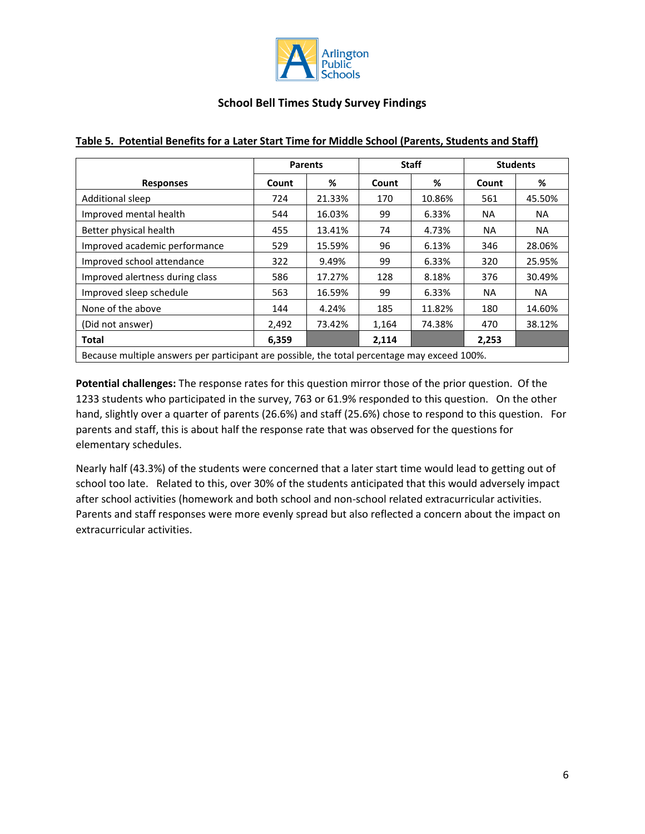

|                                                                                              | <b>Parents</b> |                       |       | <b>Staff</b> | <b>Students</b> |        |
|----------------------------------------------------------------------------------------------|----------------|-----------------------|-------|--------------|-----------------|--------|
| <b>Responses</b>                                                                             | %<br>Count     |                       | Count | %            | Count           | %      |
| Additional sleep                                                                             | 724            | 21.33%                | 170   | 10.86%       | 561             | 45.50% |
| Improved mental health                                                                       | 544            | 16.03%                | 99    | 6.33%        | <b>NA</b>       | NA.    |
| Better physical health                                                                       | 455            | 13.41%                | 74    | 4.73%        | NA.             | NA.    |
| Improved academic performance                                                                | 529            | 15.59%<br>96<br>6.13% | 346   |              | 28.06%          |        |
| Improved school attendance                                                                   | 322            | 9.49%                 | 99    | 6.33%        | 320             | 25.95% |
| Improved alertness during class                                                              | 586            | 17.27%                | 128   | 8.18%        | 376             | 30.49% |
| Improved sleep schedule                                                                      | 563            | 16.59%                | 99    | 6.33%        | NA.             | NA.    |
| None of the above                                                                            | 144            | 4.24%                 | 185   | 11.82%       | 180             | 14.60% |
| (Did not answer)                                                                             | 2,492          | 73.42%                | 1,164 | 74.38%       | 470             | 38.12% |
| <b>Total</b>                                                                                 | 6,359          |                       | 2,114 |              | 2,253           |        |
| Because multiple answers per participant are possible, the total percentage may exceed 100%. |                |                       |       |              |                 |        |

#### **Table 5. Potential Benefits for a Later Start Time for Middle School (Parents, Students and Staff)**

**Potential challenges:** The response rates for this question mirror those of the prior question. Of the 1233 students who participated in the survey, 763 or 61.9% responded to this question. On the other hand, slightly over a quarter of parents (26.6%) and staff (25.6%) chose to respond to this question. For parents and staff, this is about half the response rate that was observed for the questions for elementary schedules.

Nearly half (43.3%) of the students were concerned that a later start time would lead to getting out of school too late. Related to this, over 30% of the students anticipated that this would adversely impact after school activities (homework and both school and non-school related extracurricular activities. Parents and staff responses were more evenly spread but also reflected a concern about the impact on extracurricular activities.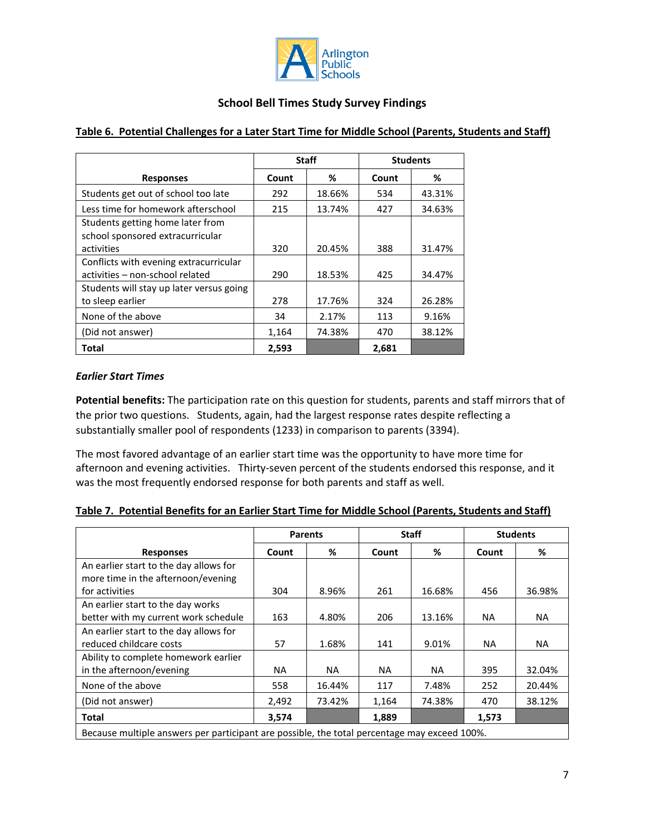

|                                          |       | <b>Staff</b> |       | <b>Students</b> |
|------------------------------------------|-------|--------------|-------|-----------------|
| <b>Responses</b>                         | Count | %            | Count | %               |
| Students get out of school too late      | 292   | 18.66%       | 534   | 43.31%          |
| Less time for homework afterschool       | 215   | 13.74%       | 427   | 34.63%          |
| Students getting home later from         |       |              |       |                 |
| school sponsored extracurricular         |       |              |       |                 |
| activities                               | 320   | 20.45%       | 388   | 31.47%          |
| Conflicts with evening extracurricular   |       |              |       |                 |
| activities - non-school related          | 290   | 18.53%       | 425   | 34.47%          |
| Students will stay up later versus going |       |              |       |                 |
| to sleep earlier                         | 278   | 17.76%       | 324   | 26.28%          |
| None of the above                        | 34    | 2.17%        | 113   | 9.16%           |
| (Did not answer)                         | 1,164 | 74.38%       | 470   | 38.12%          |
| Total                                    | 2,593 |              | 2,681 |                 |

## **Table 6. Potential Challenges for a Later Start Time for Middle School (Parents, Students and Staff)**

### *Earlier Start Times*

**Potential benefits:** The participation rate on this question for students, parents and staff mirrors that of the prior two questions. Students, again, had the largest response rates despite reflecting a substantially smaller pool of respondents (1233) in comparison to parents (3394).

The most favored advantage of an earlier start time was the opportunity to have more time for afternoon and evening activities. Thirty-seven percent of the students endorsed this response, and it was the most frequently endorsed response for both parents and staff as well.

| Table 7. Potential Benefits for an Earlier Start Time for Middle School (Parents, Students and Staff) |
|-------------------------------------------------------------------------------------------------------|
|-------------------------------------------------------------------------------------------------------|

|                                                                                              | <b>Parents</b> |           |           | <b>Staff</b> | <b>Students</b> |           |
|----------------------------------------------------------------------------------------------|----------------|-----------|-----------|--------------|-----------------|-----------|
| <b>Responses</b>                                                                             | Count          | ℅         | Count     | %            | Count           | %         |
| An earlier start to the day allows for                                                       |                |           |           |              |                 |           |
| more time in the afternoon/evening                                                           |                |           |           |              |                 |           |
| for activities                                                                               | 304            | 8.96%     | 261       | 16.68%       | 456             | 36.98%    |
| An earlier start to the day works                                                            |                |           |           |              |                 |           |
| better with my current work schedule                                                         | 163            | 4.80%     | 206       | 13.16%       | NA.             | <b>NA</b> |
| An earlier start to the day allows for                                                       |                |           |           |              |                 |           |
| reduced childcare costs                                                                      | 57             | 1.68%     | 141       | 9.01%        | <b>NA</b>       | <b>NA</b> |
| Ability to complete homework earlier                                                         |                |           |           |              |                 |           |
| in the afternoon/evening                                                                     | NA.            | <b>NA</b> | <b>NA</b> | NA.          | 395             | 32.04%    |
| None of the above                                                                            | 558            | 16.44%    | 117       | 7.48%        | 252             | 20.44%    |
| (Did not answer)                                                                             | 2,492          | 73.42%    | 1,164     | 74.38%       | 470             | 38.12%    |
| Total                                                                                        | 3,574          |           | 1,889     |              | 1,573           |           |
| Because multiple answers per participant are possible, the total percentage may exceed 100%. |                |           |           |              |                 |           |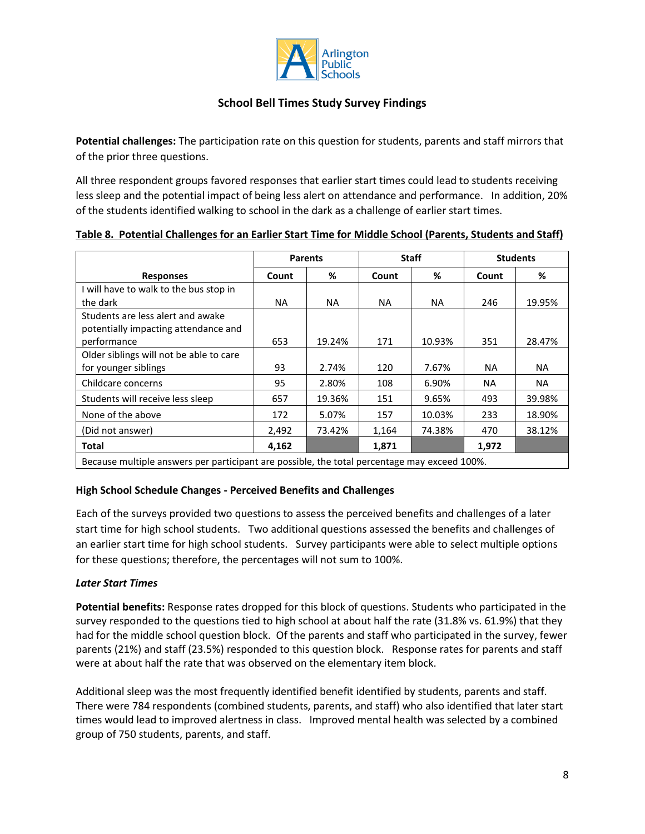

**Potential challenges:** The participation rate on this question for students, parents and staff mirrors that of the prior three questions.

All three respondent groups favored responses that earlier start times could lead to students receiving less sleep and the potential impact of being less alert on attendance and performance. In addition, 20% of the students identified walking to school in the dark as a challenge of earlier start times.

|  | Table 8. Potential Challenges for an Earlier Start Time for Middle School (Parents, Students and Staff) |  |  |  |  |  |
|--|---------------------------------------------------------------------------------------------------------|--|--|--|--|--|
|  |                                                                                                         |  |  |  |  |  |

|                                                                                              |       | <b>Staff</b><br><b>Parents</b> |           |           |           | <b>Students</b> |
|----------------------------------------------------------------------------------------------|-------|--------------------------------|-----------|-----------|-----------|-----------------|
| <b>Responses</b>                                                                             | Count | %                              | Count     | %         | Count     | %               |
| I will have to walk to the bus stop in                                                       |       |                                |           |           |           |                 |
| the dark                                                                                     | NA.   | NA.                            | <b>NA</b> | <b>NA</b> | 246       | 19.95%          |
| Students are less alert and awake                                                            |       |                                |           |           |           |                 |
| potentially impacting attendance and                                                         |       |                                |           |           |           |                 |
| performance                                                                                  | 653   | 19.24%                         | 171       | 10.93%    | 351       | 28.47%          |
| Older siblings will not be able to care                                                      |       |                                |           |           |           |                 |
| for younger siblings                                                                         | 93    | 2.74%                          | 120       | 7.67%     | NA.       | <b>NA</b>       |
| Childcare concerns                                                                           | 95    | 2.80%                          | 108       | 6.90%     | <b>NA</b> | NA.             |
| Students will receive less sleep                                                             | 657   | 19.36%                         | 151       | 9.65%     | 493       | 39.98%          |
| None of the above                                                                            | 172   | 5.07%                          | 157       | 10.03%    | 233       | 18.90%          |
| (Did not answer)                                                                             | 2,492 | 73.42%                         | 1,164     | 74.38%    | 470       | 38.12%          |
| Total                                                                                        | 4,162 |                                | 1,871     |           | 1,972     |                 |
| Because multiple answers per participant are possible, the total percentage may exceed 100%. |       |                                |           |           |           |                 |

#### **High School Schedule Changes - Perceived Benefits and Challenges**

Each of the surveys provided two questions to assess the perceived benefits and challenges of a later start time for high school students. Two additional questions assessed the benefits and challenges of an earlier start time for high school students. Survey participants were able to select multiple options for these questions; therefore, the percentages will not sum to 100%.

## *Later Start Times*

**Potential benefits:** Response rates dropped for this block of questions. Students who participated in the survey responded to the questions tied to high school at about half the rate (31.8% vs. 61.9%) that they had for the middle school question block. Of the parents and staff who participated in the survey, fewer parents (21%) and staff (23.5%) responded to this question block. Response rates for parents and staff were at about half the rate that was observed on the elementary item block.

Additional sleep was the most frequently identified benefit identified by students, parents and staff. There were 784 respondents (combined students, parents, and staff) who also identified that later start times would lead to improved alertness in class. Improved mental health was selected by a combined group of 750 students, parents, and staff.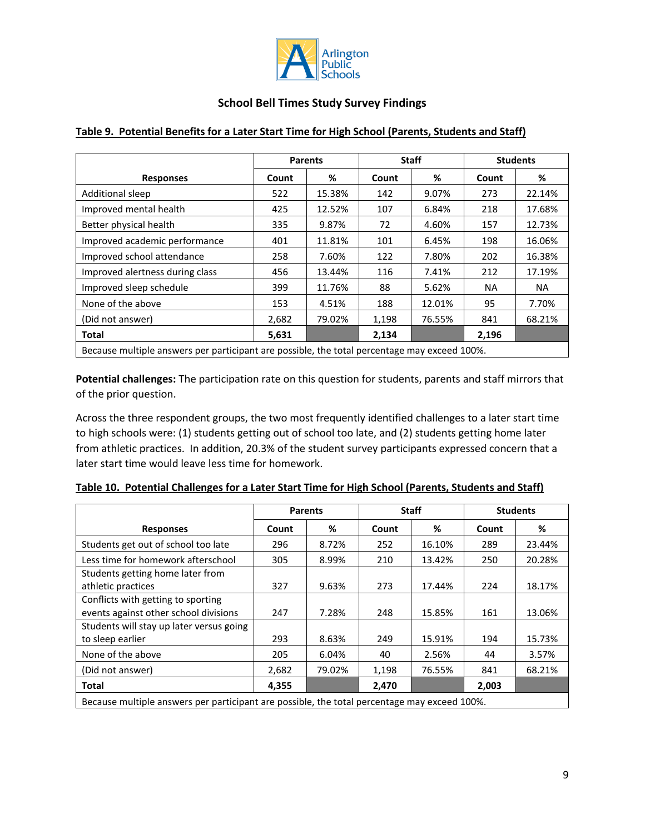

|                                                                                            | <b>Parents</b> |        |       | <b>Staff</b> |           | <b>Students</b> |
|--------------------------------------------------------------------------------------------|----------------|--------|-------|--------------|-----------|-----------------|
| <b>Responses</b>                                                                           | Count          | %      |       | %            | Count     | %               |
| Additional sleep                                                                           | 522            | 15.38% | 142   | 9.07%        | 273       | 22.14%          |
| Improved mental health                                                                     | 425            | 12.52% | 107   | 6.84%        | 218       | 17.68%          |
| Better physical health                                                                     | 335            | 9.87%  | 72    | 4.60%        | 157       | 12.73%          |
| Improved academic performance                                                              | 401            | 11.81% | 101   | 6.45%        | 198       | 16.06%          |
| Improved school attendance                                                                 | 258            | 7.60%  | 122   | 7.80%        | 202       | 16.38%          |
| Improved alertness during class                                                            | 456            | 13.44% | 116   | 7.41%        | 212       | 17.19%          |
| Improved sleep schedule                                                                    | 399            | 11.76% | 88    | 5.62%        | <b>NA</b> | NA.             |
| None of the above                                                                          | 153            | 4.51%  | 188   | 12.01%       | 95        | 7.70%           |
| (Did not answer)                                                                           | 2,682          | 79.02% | 1,198 | 76.55%       | 841       | 68.21%          |
| <b>Total</b>                                                                               | 5,631          |        | 2,134 |              | 2,196     |                 |
| Requise multiple answers not participant are possible the total persentage may exceed 100% |                |        |       |              |           |                 |

# **Table 9. Potential Benefits for a Later Start Time for High School (Parents, Students and Staff)**

Because multiple answers per participant are possible, the total percentage may exceed 100%.

**Potential challenges:** The participation rate on this question for students, parents and staff mirrors that of the prior question.

Across the three respondent groups, the two most frequently identified challenges to a later start time to high schools were: (1) students getting out of school too late, and (2) students getting home later from athletic practices. In addition, 20.3% of the student survey participants expressed concern that a later start time would leave less time for homework.

|                                                                                              | <b>Parents</b> |        | <b>Staff</b> |        |       | <b>Students</b> |
|----------------------------------------------------------------------------------------------|----------------|--------|--------------|--------|-------|-----------------|
| <b>Responses</b>                                                                             | Count          | %      | Count        | %      | Count | %               |
| Students get out of school too late                                                          | 296            | 8.72%  | 252          | 16.10% | 289   | 23.44%          |
| Less time for homework afterschool                                                           | 305            | 8.99%  | 210          | 13.42% | 250   | 20.28%          |
| Students getting home later from                                                             |                |        |              |        |       |                 |
| athletic practices                                                                           | 327            | 9.63%  | 273          | 17.44% | 224   | 18.17%          |
| Conflicts with getting to sporting                                                           |                |        |              |        |       |                 |
| events against other school divisions                                                        | 247            | 7.28%  | 248          | 15.85% | 161   | 13.06%          |
| Students will stay up later versus going                                                     |                |        |              |        |       |                 |
| to sleep earlier                                                                             | 293            | 8.63%  | 249          | 15.91% | 194   | 15.73%          |
| None of the above                                                                            | 205            | 6.04%  | 40           | 2.56%  | 44    | 3.57%           |
| (Did not answer)                                                                             | 2,682          | 79.02% | 1,198        | 76.55% | 841   | 68.21%          |
| Total                                                                                        | 4,355          |        | 2,470        |        | 2,003 |                 |
| Because multiple answers per participant are possible, the total percentage may exceed 100%. |                |        |              |        |       |                 |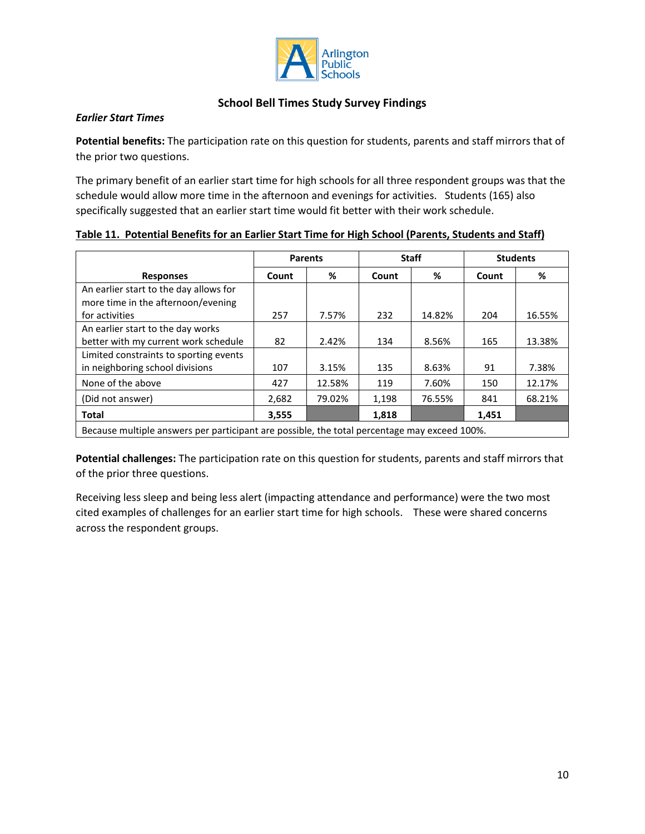

#### *Earlier Start Times*

**Potential benefits:** The participation rate on this question for students, parents and staff mirrors that of the prior two questions.

The primary benefit of an earlier start time for high schools for all three respondent groups was that the schedule would allow more time in the afternoon and evenings for activities. Students (165) also specifically suggested that an earlier start time would fit better with their work schedule.

|                                                                                              | <b>Parents</b> |        |       | <b>Staff</b> | <b>Students</b> |        |  |  |
|----------------------------------------------------------------------------------------------|----------------|--------|-------|--------------|-----------------|--------|--|--|
| <b>Responses</b>                                                                             | Count          | %      | Count | %            | Count           | %      |  |  |
| An earlier start to the day allows for                                                       |                |        |       |              |                 |        |  |  |
| more time in the afternoon/evening                                                           |                |        |       |              |                 |        |  |  |
| for activities                                                                               | 257            | 7.57%  | 232   | 14.82%       | 204             | 16.55% |  |  |
| An earlier start to the day works                                                            |                |        |       |              |                 |        |  |  |
| better with my current work schedule                                                         | 82             | 2.42%  | 134   | 8.56%        | 165             | 13.38% |  |  |
| Limited constraints to sporting events                                                       |                |        |       |              |                 |        |  |  |
| in neighboring school divisions                                                              | 107            | 3.15%  | 135   | 8.63%        | 91              | 7.38%  |  |  |
| None of the above                                                                            | 427            | 12.58% | 119   | 7.60%        | 150             | 12.17% |  |  |
| (Did not answer)                                                                             | 2,682          | 79.02% | 1,198 | 76.55%       | 841             | 68.21% |  |  |
| <b>Total</b>                                                                                 | 3,555          |        | 1,818 |              | 1,451           |        |  |  |
| Because multiple answers per participant are possible, the total percentage may exceed 100%. |                |        |       |              |                 |        |  |  |

#### **Table 11. Potential Benefits for an Earlier Start Time for High School (Parents, Students and Staff)**

**Potential challenges:** The participation rate on this question for students, parents and staff mirrors that of the prior three questions.

Receiving less sleep and being less alert (impacting attendance and performance) were the two most cited examples of challenges for an earlier start time for high schools. These were shared concerns across the respondent groups.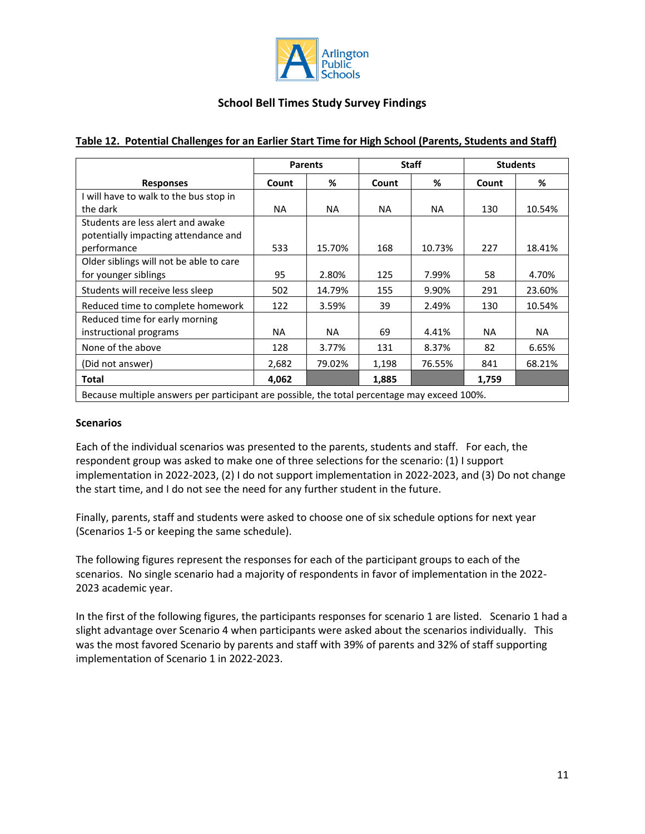

|                                                                                          | <b>Parents</b> |        |       | <b>Staff</b> | <b>Students</b> |           |
|------------------------------------------------------------------------------------------|----------------|--------|-------|--------------|-----------------|-----------|
| <b>Responses</b>                                                                         | Count          | %      | Count | %            | Count           | %         |
| I will have to walk to the bus stop in                                                   |                |        |       |              |                 |           |
| the dark                                                                                 | NA.            | NA.    | NA.   | NA.          | 130             | 10.54%    |
| Students are less alert and awake<br>potentially impacting attendance and<br>performance | 533            | 15.70% | 168   | 10.73%       | 227             | 18.41%    |
| Older siblings will not be able to care                                                  |                |        |       |              |                 |           |
| for younger siblings                                                                     | 95             | 2.80%  | 125   | 7.99%        | 58              | 4.70%     |
| Students will receive less sleep                                                         | 502            | 14.79% | 155   | 9.90%        | 291             | 23.60%    |
| Reduced time to complete homework                                                        | 122            | 3.59%  | 39    | 2.49%        | 130             | 10.54%    |
| Reduced time for early morning                                                           |                |        |       |              |                 |           |
| instructional programs                                                                   | NA.            | NA     | 69    | 4.41%        | <b>NA</b>       | <b>NA</b> |
| None of the above                                                                        | 128            | 3.77%  | 131   | 8.37%        | 82              | 6.65%     |
| (Did not answer)                                                                         | 2,682          | 79.02% | 1,198 | 76.55%       | 841             | 68.21%    |
| Total                                                                                    | 4,062          |        | 1,885 |              | 1,759           |           |

### **Table 12. Potential Challenges for an Earlier Start Time for High School (Parents, Students and Staff)**

#### **Scenarios**

Each of the individual scenarios was presented to the parents, students and staff. For each, the respondent group was asked to make one of three selections for the scenario: (1) I support implementation in 2022-2023, (2) I do not support implementation in 2022-2023, and (3) Do not change the start time, and I do not see the need for any further student in the future.

Finally, parents, staff and students were asked to choose one of six schedule options for next year (Scenarios 1-5 or keeping the same schedule).

The following figures represent the responses for each of the participant groups to each of the scenarios. No single scenario had a majority of respondents in favor of implementation in the 2022- 2023 academic year.

In the first of the following figures, the participants responses for scenario 1 are listed. Scenario 1 had a slight advantage over Scenario 4 when participants were asked about the scenarios individually. This was the most favored Scenario by parents and staff with 39% of parents and 32% of staff supporting implementation of Scenario 1 in 2022-2023.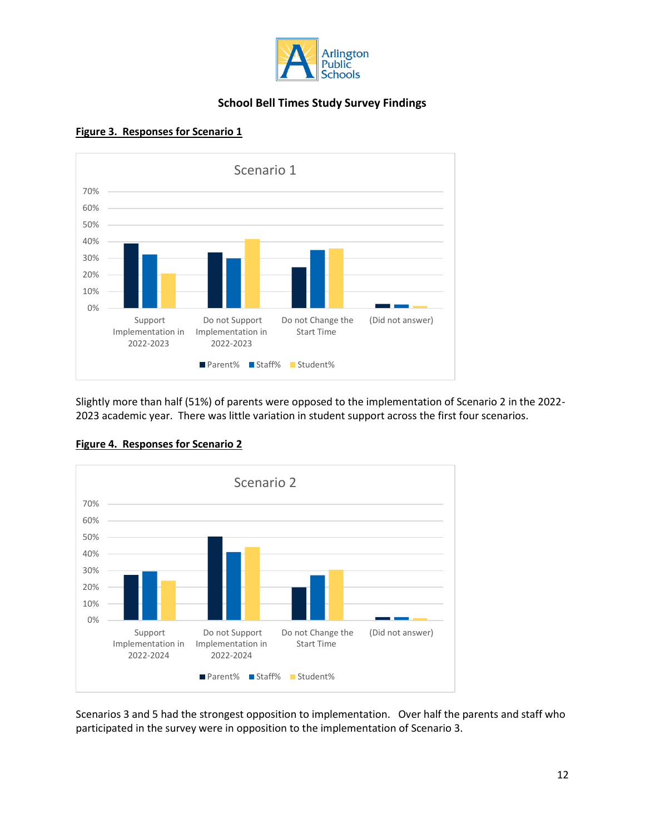



#### **Figure 3. Responses for Scenario 1**

Slightly more than half (51%) of parents were opposed to the implementation of Scenario 2 in the 2022- 2023 academic year. There was little variation in student support across the first four scenarios.



## **Figure 4. Responses for Scenario 2**

Scenarios 3 and 5 had the strongest opposition to implementation. Over half the parents and staff who participated in the survey were in opposition to the implementation of Scenario 3.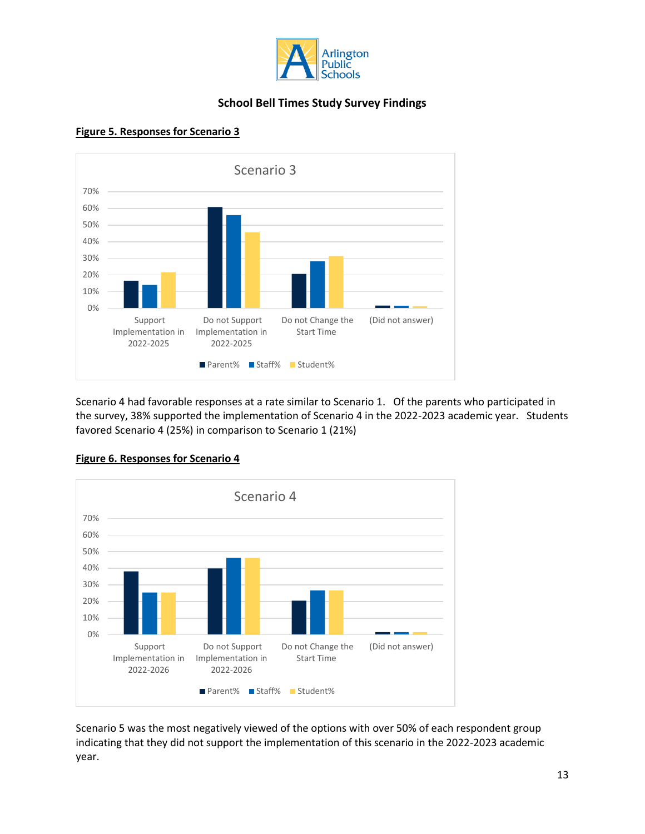



#### **Figure 5. Responses for Scenario 3**

Scenario 4 had favorable responses at a rate similar to Scenario 1. Of the parents who participated in the survey, 38% supported the implementation of Scenario 4 in the 2022-2023 academic year. Students favored Scenario 4 (25%) in comparison to Scenario 1 (21%)



## **Figure 6. Responses for Scenario 4**

Scenario 5 was the most negatively viewed of the options with over 50% of each respondent group indicating that they did not support the implementation of this scenario in the 2022-2023 academic year.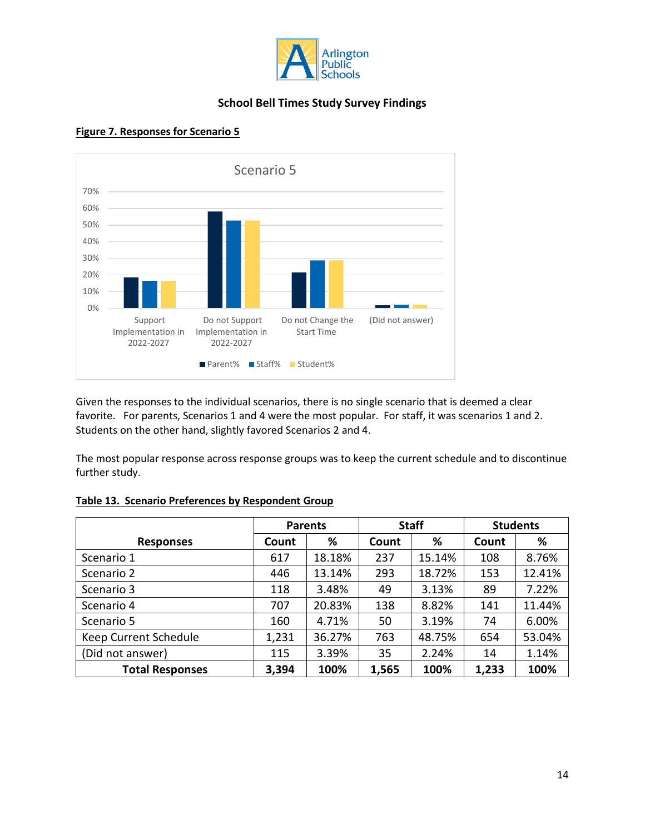



#### **Figure 7. Responses for Scenario 5**

Given the responses to the individual scenarios, there is no single scenario that is deemed a clear favorite. For parents, Scenarios 1 and 4 were the most popular. For staff, it was scenarios 1 and 2. Students on the other hand, slightly favored Scenarios 2 and 4.

The most popular response across response groups was to keep the current schedule and to discontinue further study.

|                        | <b>Parents</b> |        | <b>Staff</b> |        | <b>Students</b> |        |
|------------------------|----------------|--------|--------------|--------|-----------------|--------|
| <b>Responses</b>       | Count          | %      | Count        | %      | Count           | %      |
| Scenario 1             | 617            | 18.18% | 237          | 15.14% | 108             | 8.76%  |
| Scenario 2             | 446            | 13.14% | 293          | 18.72% | 153             | 12.41% |
| Scenario 3             | 118            | 3.48%  | 49           | 3.13%  | 89              | 7.22%  |
| Scenario 4             | 707            | 20.83% | 138          | 8.82%  | 141             | 11.44% |
| Scenario 5             | 160            | 4.71%  | 50           | 3.19%  | 74              | 6.00%  |
| Keep Current Schedule  | 1,231          | 36.27% | 763          | 48.75% | 654             | 53.04% |
| (Did not answer)       | 115            | 3.39%  | 35           | 2.24%  | 14              | 1.14%  |
| <b>Total Responses</b> | 3,394          | 100%   | 1,565        | 100%   | 1,233           | 100%   |

#### **Table 13. Scenario Preferences by Respondent Group**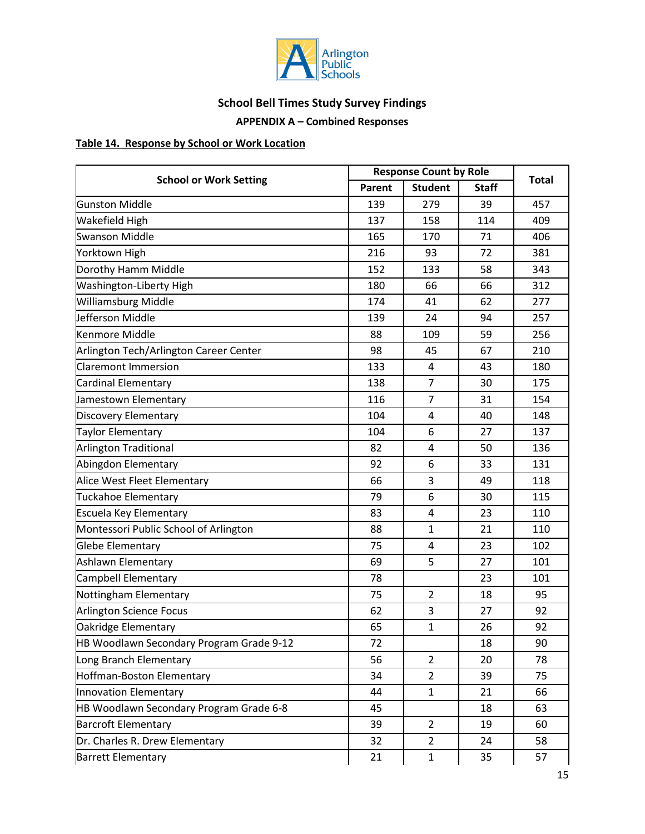

# **APPENDIX A – Combined Responses**

# **Table 14. Response by School or Work Location**

|                                          |        | <b>Response Count by Role</b> |              |              |
|------------------------------------------|--------|-------------------------------|--------------|--------------|
| <b>School or Work Setting</b>            | Parent | <b>Student</b>                | <b>Staff</b> | <b>Total</b> |
| <b>Gunston Middle</b>                    | 139    | 279                           | 39           | 457          |
| <b>Wakefield High</b>                    | 137    | 158                           | 114          | 409          |
| <b>Swanson Middle</b>                    | 165    | 170                           | 71           | 406          |
| Yorktown High                            | 216    | 93                            | 72           | 381          |
| Dorothy Hamm Middle                      | 152    | 133                           | 58           | 343          |
| Washington-Liberty High                  | 180    | 66                            | 66           | 312          |
| Williamsburg Middle                      | 174    | 41                            | 62           | 277          |
| Jefferson Middle                         | 139    | 24                            | 94           | 257          |
| <b>Kenmore Middle</b>                    | 88     | 109                           | 59           | 256          |
| Arlington Tech/Arlington Career Center   | 98     | 45                            | 67           | 210          |
| <b>Claremont Immersion</b>               | 133    | 4                             | 43           | 180          |
| Cardinal Elementary                      | 138    | $\overline{7}$                | 30           | 175          |
| Jamestown Elementary                     | 116    | 7                             | 31           | 154          |
| <b>Discovery Elementary</b>              | 104    | 4                             | 40           | 148          |
| Taylor Elementary                        | 104    | 6                             | 27           | 137          |
| <b>Arlington Traditional</b>             | 82     | 4                             | 50           | 136          |
| Abingdon Elementary                      | 92     | 6                             | 33           | 131          |
| Alice West Fleet Elementary              | 66     | 3                             | 49           | 118          |
| Tuckahoe Elementary                      | 79     | 6                             | 30           | 115          |
| Escuela Key Elementary                   | 83     | 4                             | 23           | 110          |
| Montessori Public School of Arlington    | 88     | $\mathbf{1}$                  | 21           | 110          |
| Glebe Elementary                         | 75     | 4                             | 23           | 102          |
| Ashlawn Elementary                       | 69     | 5                             | 27           | 101          |
| Campbell Elementary                      | 78     |                               | 23           | 101          |
| Nottingham Elementary                    | 75     | $\overline{2}$                | 18           | 95           |
| <b>Arlington Science Focus</b>           | 62     | 3                             | 27           | 92           |
| Oakridge Elementary                      | 65     | $\mathbf{1}$                  | 26           | 92           |
| HB Woodlawn Secondary Program Grade 9-12 | 72     |                               | 18           | 90           |
| Long Branch Elementary                   | 56     | $\overline{2}$                | 20           | 78           |
| Hoffman-Boston Elementary                | 34     | $\overline{2}$                | 39           | 75           |
| Innovation Elementary                    | 44     | $\mathbf{1}$                  | 21           | 66           |
| HB Woodlawn Secondary Program Grade 6-8  | 45     |                               | 18           | 63           |
| <b>Barcroft Elementary</b>               | 39     | $\overline{2}$                | 19           | 60           |
| Dr. Charles R. Drew Elementary           | 32     | $\overline{2}$                | 24           | 58           |
| <b>Barrett Elementary</b>                | 21     | $\mathbf{1}$                  | 35           | 57           |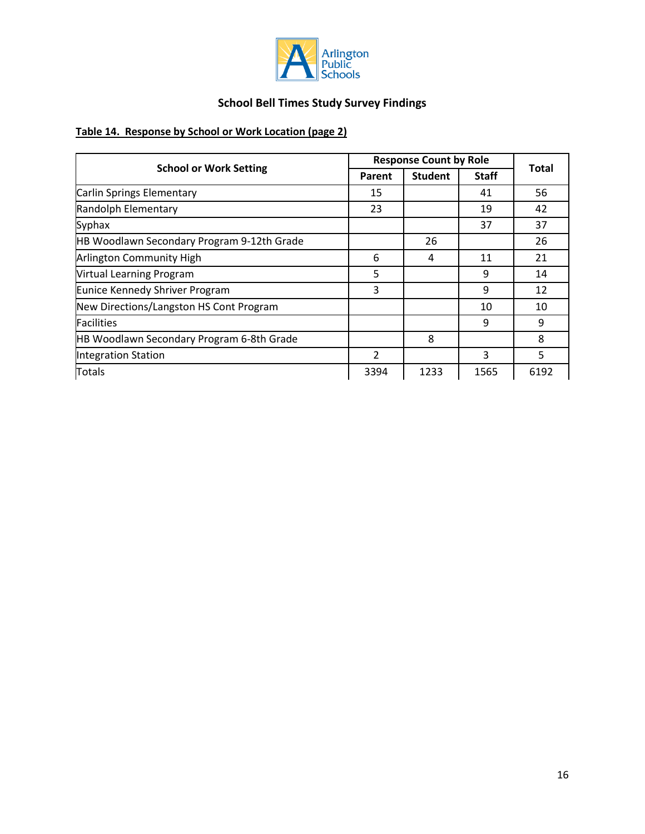

# **Table 14. Response by School or Work Location (page 2)**

|                                            |                | <b>Response Count by Role</b> |              |              |  |
|--------------------------------------------|----------------|-------------------------------|--------------|--------------|--|
| <b>School or Work Setting</b>              | Parent         | <b>Student</b>                | <b>Staff</b> | <b>Total</b> |  |
| Carlin Springs Elementary                  | 15             |                               | 41           | 56           |  |
| Randolph Elementary                        | 23             |                               | 19           | 42           |  |
| Syphax                                     |                |                               | 37           | 37           |  |
| HB Woodlawn Secondary Program 9-12th Grade |                | 26                            |              | 26           |  |
| Arlington Community High                   | 6              | 4                             | 11           | 21           |  |
| <b>Virtual Learning Program</b>            | 5              |                               | 9            | 14           |  |
| Eunice Kennedy Shriver Program             | 3              |                               | 9            | 12           |  |
| New Directions/Langston HS Cont Program    |                |                               | 10           | 10           |  |
| <b>Facilities</b>                          |                |                               | 9            | 9            |  |
| HB Woodlawn Secondary Program 6-8th Grade  |                | 8                             |              | 8            |  |
| <b>Integration Station</b>                 | $\overline{2}$ |                               | 3            | 5            |  |
| Totals                                     |                | 1233                          | 1565         | 6192         |  |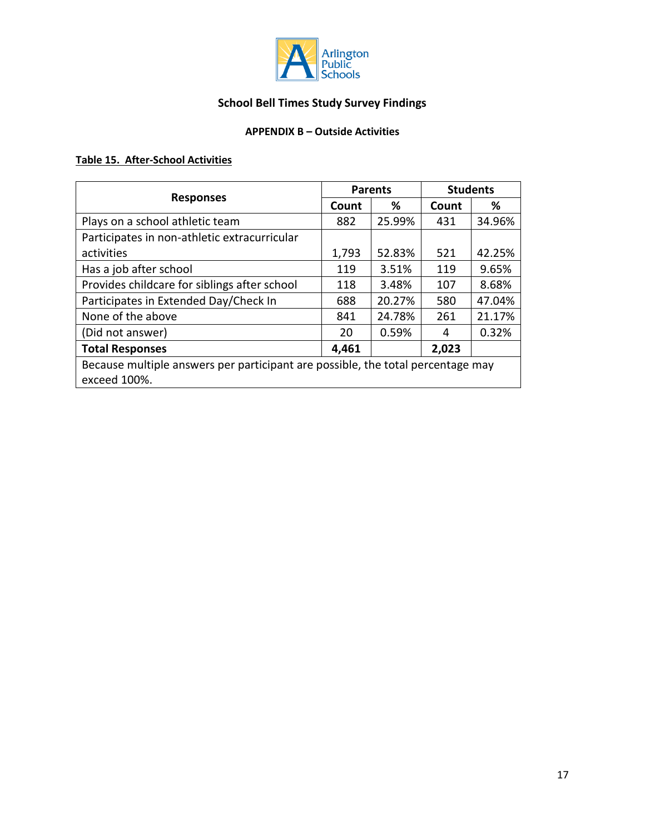

# **APPENDIX B – Outside Activities**

# **Table 15. After-School Activities**

|                                                                                 |              | <b>Parents</b> | <b>Students</b> |        |  |  |  |
|---------------------------------------------------------------------------------|--------------|----------------|-----------------|--------|--|--|--|
| <b>Responses</b>                                                                | Count        | %              | Count           | ℅      |  |  |  |
| Plays on a school athletic team                                                 | 882          | 25.99%         | 431             | 34.96% |  |  |  |
| Participates in non-athletic extracurricular                                    |              |                |                 |        |  |  |  |
| activities                                                                      | 1,793        | 52.83%         | 521             | 42.25% |  |  |  |
| Has a job after school                                                          | 119<br>3.51% |                | 119             | 9.65%  |  |  |  |
| Provides childcare for siblings after school                                    | 118          | 3.48%          | 107             | 8.68%  |  |  |  |
| Participates in Extended Day/Check In                                           | 688          | 20.27%         | 580             | 47.04% |  |  |  |
| None of the above                                                               | 841          | 24.78%         | 261             | 21.17% |  |  |  |
| (Did not answer)                                                                | 20           | 0.59%          | 4               | 0.32%  |  |  |  |
| <b>Total Responses</b>                                                          | 4,461        |                | 2,023           |        |  |  |  |
| Because multiple answers per participant are possible, the total percentage may |              |                |                 |        |  |  |  |
| exceed 100%.                                                                    |              |                |                 |        |  |  |  |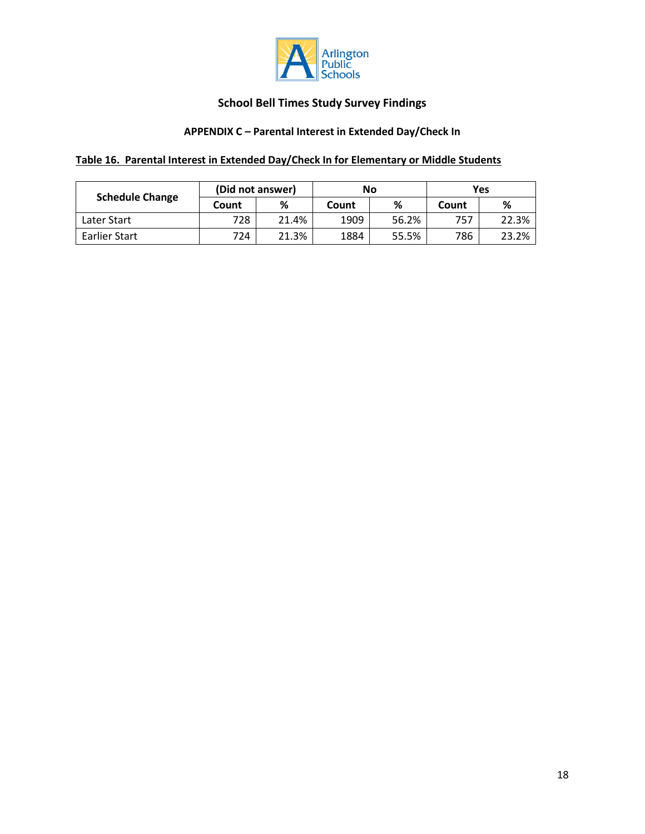

# **APPENDIX C – Parental Interest in Extended Day/Check In**

# **Table 16. Parental Interest in Extended Day/Check In for Elementary or Middle Students**

|                        | (Did not answer) |       |       | No    | Yes |       |  |
|------------------------|------------------|-------|-------|-------|-----|-------|--|
| <b>Schedule Change</b> | Count            | ℅     | Count | %     |     | %     |  |
| Later Start            | 728              | 21.4% | 1909  | 56.2% | 757 | 22.3% |  |
| Earlier Start          | 724              | 21.3% | 1884  | 55.5% | 786 | 23.2% |  |